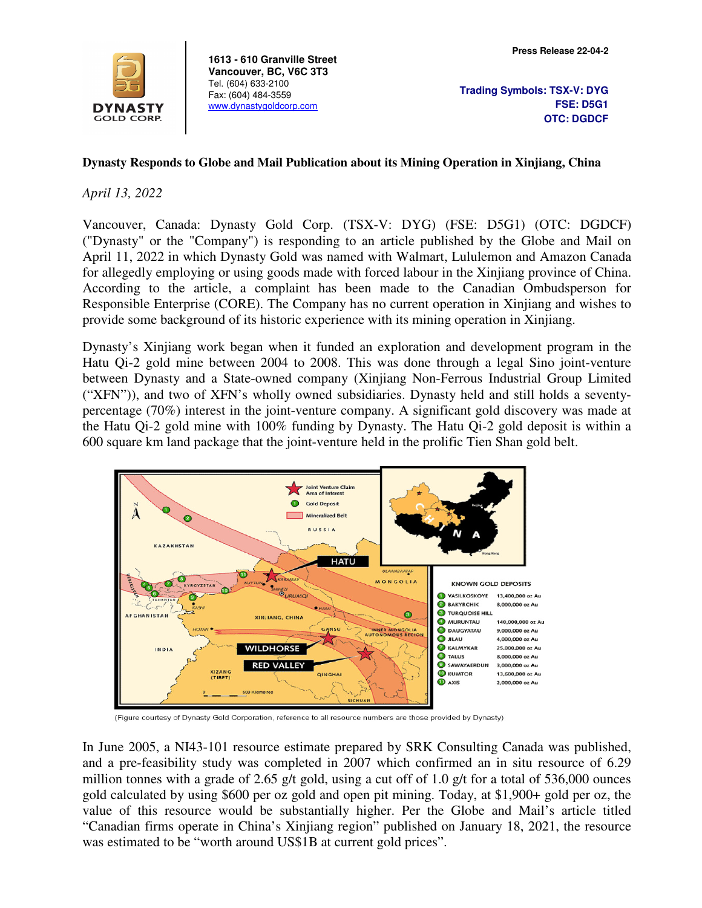

**1613 - 610 Granville Street Vancouver, BC, V6C 3T3**  Tel. (604) 633-2100 Fax: (604) 484-3559 www.dynastygoldcorp.com

## **Dynasty Responds to Globe and Mail Publication about its Mining Operation in Xinjiang, China**

## *April 13, 2022*

Vancouver, Canada: Dynasty Gold Corp. (TSX-V: DYG) (FSE: D5G1) (OTC: DGDCF) ("Dynasty" or the "Company") is responding to an article published by the Globe and Mail on April 11, 2022 in which Dynasty Gold was named with Walmart, Lululemon and Amazon Canada for allegedly employing or using goods made with forced labour in the Xinjiang province of China. According to the article, a complaint has been made to the Canadian Ombudsperson for Responsible Enterprise (CORE). The Company has no current operation in Xinjiang and wishes to provide some background of its historic experience with its mining operation in Xinjiang.

Dynasty's Xinjiang work began when it funded an exploration and development program in the Hatu Qi-2 gold mine between 2004 to 2008. This was done through a legal Sino joint-venture between Dynasty and a State-owned company (Xinjiang Non-Ferrous Industrial Group Limited ("XFN")), and two of XFN's wholly owned subsidiaries. Dynasty held and still holds a seventypercentage (70%) interest in the joint-venture company. A significant gold discovery was made at the Hatu Qi-2 gold mine with 100% funding by Dynasty. The Hatu Qi-2 gold deposit is within a 600 square km land package that the joint-venture held in the prolific Tien Shan gold belt.



(Figure courtesy of Dynasty Gold Corporation, reference to all resource numbers are those provided by Dynasty)

In June 2005, a NI43-101 resource estimate prepared by SRK Consulting Canada was published, and a pre-feasibility study was completed in 2007 which confirmed an in situ resource of 6.29 million tonnes with a grade of 2.65 g/t gold, using a cut off of 1.0 g/t for a total of 536,000 ounces gold calculated by using \$600 per oz gold and open pit mining. Today, at \$1,900+ gold per oz, the value of this resource would be substantially higher. Per the Globe and Mail's article titled "Canadian firms operate in China's Xinjiang region" published on January 18, 2021, the resource was estimated to be "worth around US\$1B at current gold prices".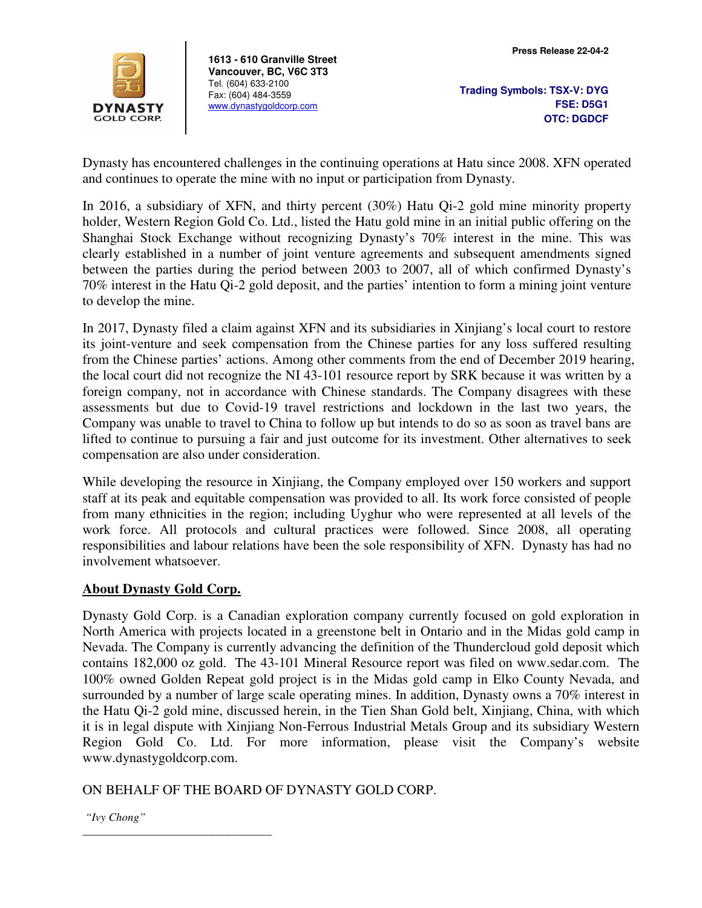

**1613 - 610 Granville Street Vancouver, BC, V6C 3T3**  Tel. (604) 633-2100 Fax: (604) 484-3559 www.dynastygoldcorp.com

**Trading Symbols: TSX-V: DYG FSE: D5G1 OTC: DGDCF**

Dynasty has encountered challenges in the continuing operations at Hatu since 2008. XFN operated and continues to operate the mine with no input or participation from Dynasty.

In 2016, a subsidiary of XFN, and thirty percent (30%) Hatu Qi-2 gold mine minority property holder, Western Region Gold Co. Ltd., listed the Hatu gold mine in an initial public offering on the Shanghai Stock Exchange without recognizing Dynasty's 70% interest in the mine. This was clearly established in a number of joint venture agreements and subsequent amendments signed between the parties during the period between 2003 to 2007, all of which confirmed Dynasty's 70% interest in the Hatu Qi-2 gold deposit, and the parties' intention to form a mining joint venture to develop the mine.

In 2017, Dynasty filed a claim against XFN and its subsidiaries in Xinjiang's local court to restore its joint-venture and seek compensation from the Chinese parties for any loss suffered resulting from the Chinese parties' actions. Among other comments from the end of December 2019 hearing, the local court did not recognize the NI 43-101 resource report by SRK because it was written by a foreign company, not in accordance with Chinese standards. The Company disagrees with these assessments but due to Covid-19 travel restrictions and lockdown in the last two years, the Company was unable to travel to China to follow up but intends to do so as soon as travel bans are lifted to continue to pursuing a fair and just outcome for its investment. Other alternatives to seek compensation are also under consideration.

While developing the resource in Xinjiang, the Company employed over 150 workers and support staff at its peak and equitable compensation was provided to all. Its work force consisted of people from many ethnicities in the region; including Uyghur who were represented at all levels of the work force. All protocols and cultural practices were followed. Since 2008, all operating responsibilities and labour relations have been the sole responsibility of XFN. Dynasty has had no involvement whatsoever.

## **About Dynasty Gold Corp.**

\_\_\_\_\_\_\_\_\_\_\_\_\_\_\_\_\_\_\_\_\_\_\_\_\_\_\_\_\_\_\_\_\_

Dynasty Gold Corp. is a Canadian exploration company currently focused on gold exploration in North America with projects located in a greenstone belt in Ontario and in the Midas gold camp in Nevada. The Company is currently advancing the definition of the Thundercloud gold deposit which contains 182,000 oz gold. The 43-101 Mineral Resource report was filed on www.sedar.com. The 100% owned Golden Repeat gold project is in the Midas gold camp in Elko County Nevada, and surrounded by a number of large scale operating mines. In addition, Dynasty owns a 70% interest in the Hatu Qi-2 gold mine, discussed herein, in the Tien Shan Gold belt, Xinjiang, China, with which it is in legal dispute with Xinjiang Non-Ferrous Industrial Metals Group and its subsidiary Western Region Gold Co. Ltd. For more information, please visit the Company's website www.dynastygoldcorp.com.

## ON BEHALF OF THE BOARD OF DYNASTY GOLD CORP.

 *"Ivy Chong"*